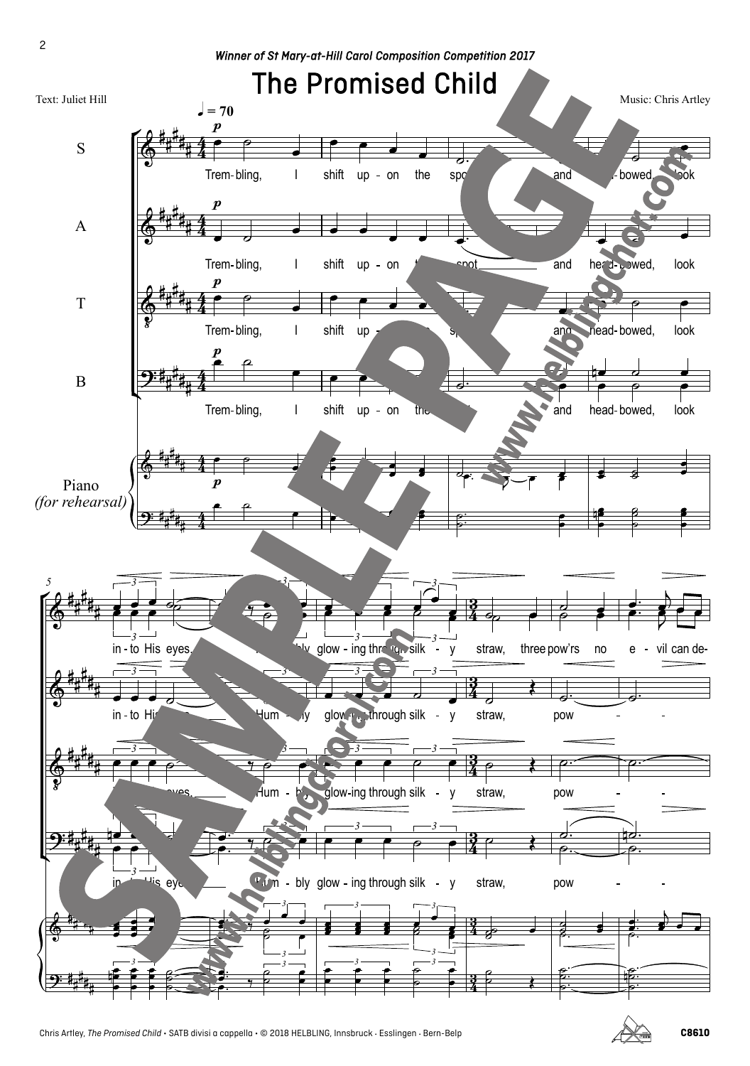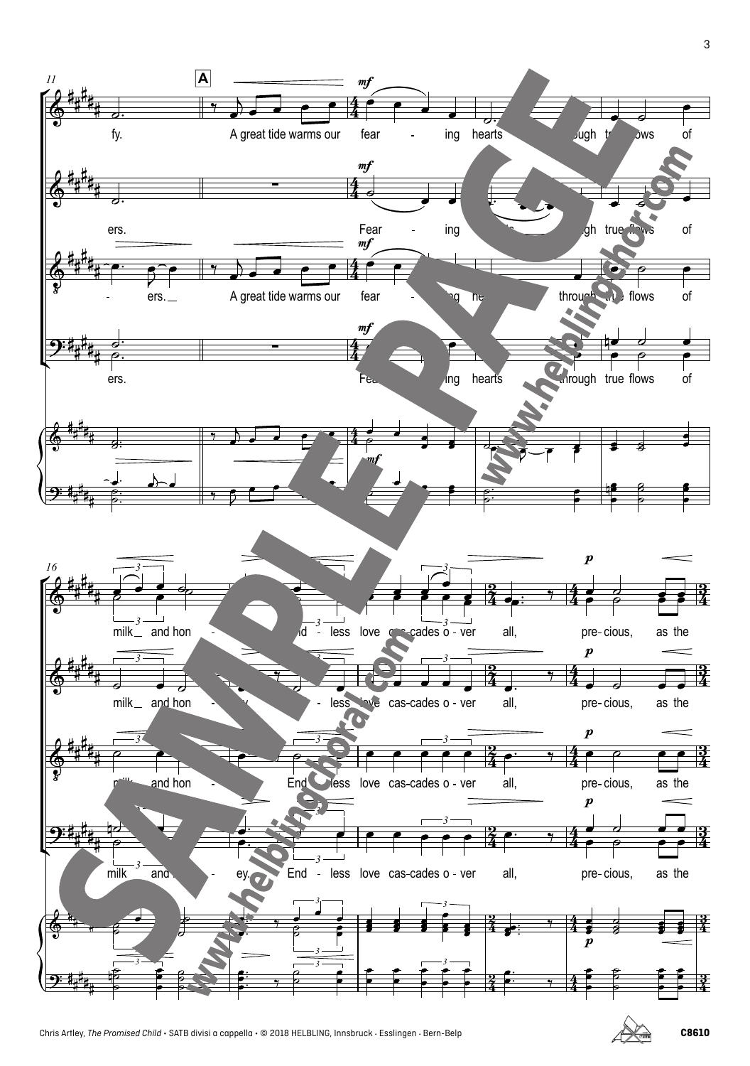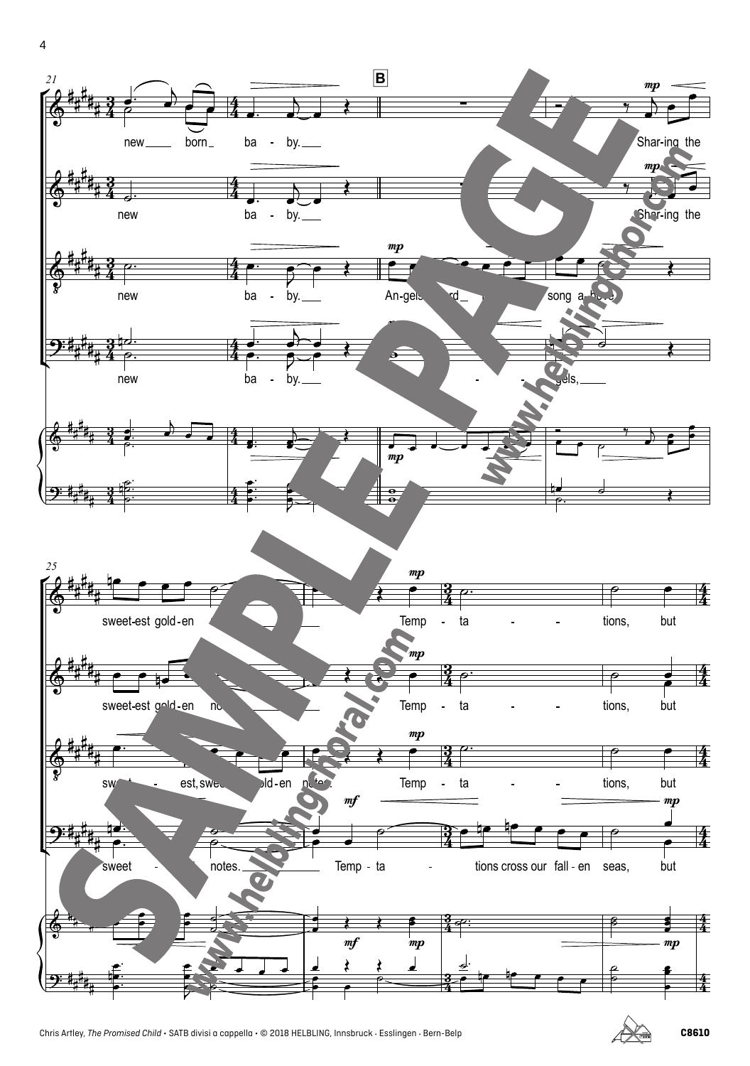

<u>.</u> 



4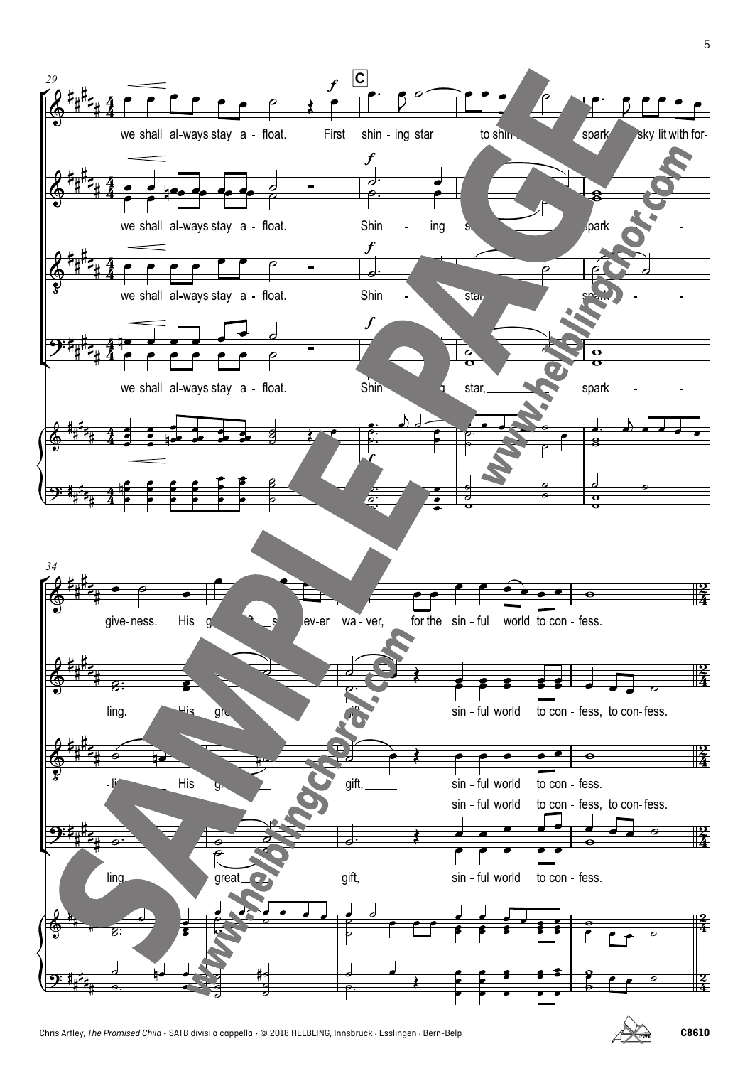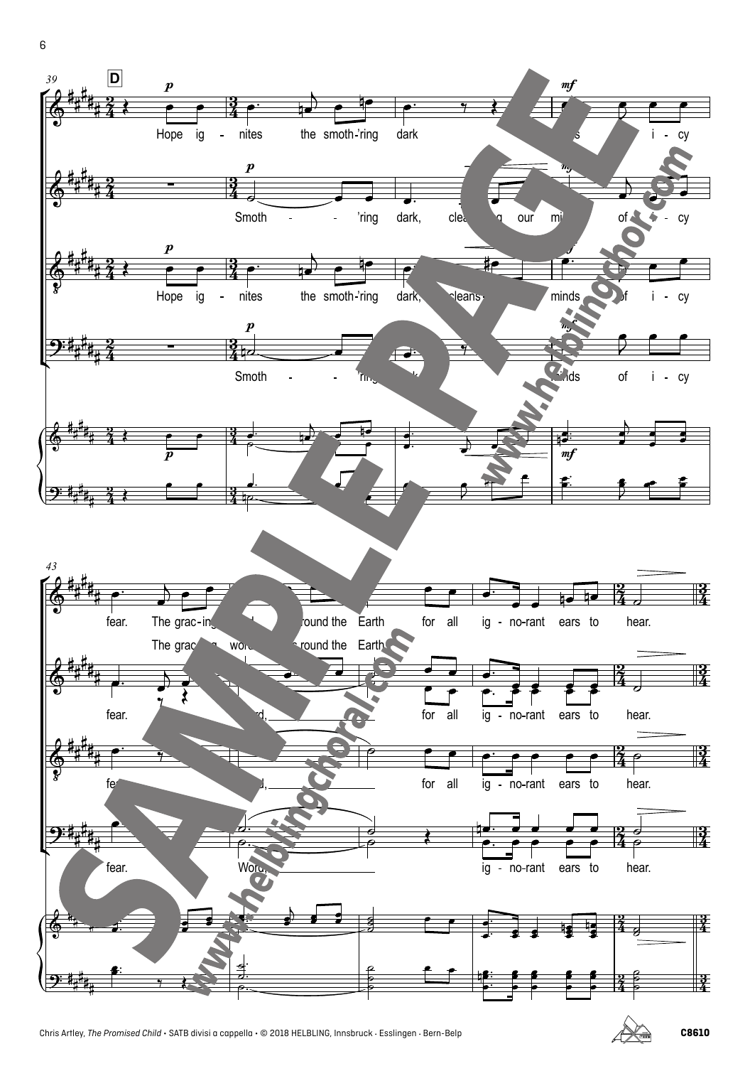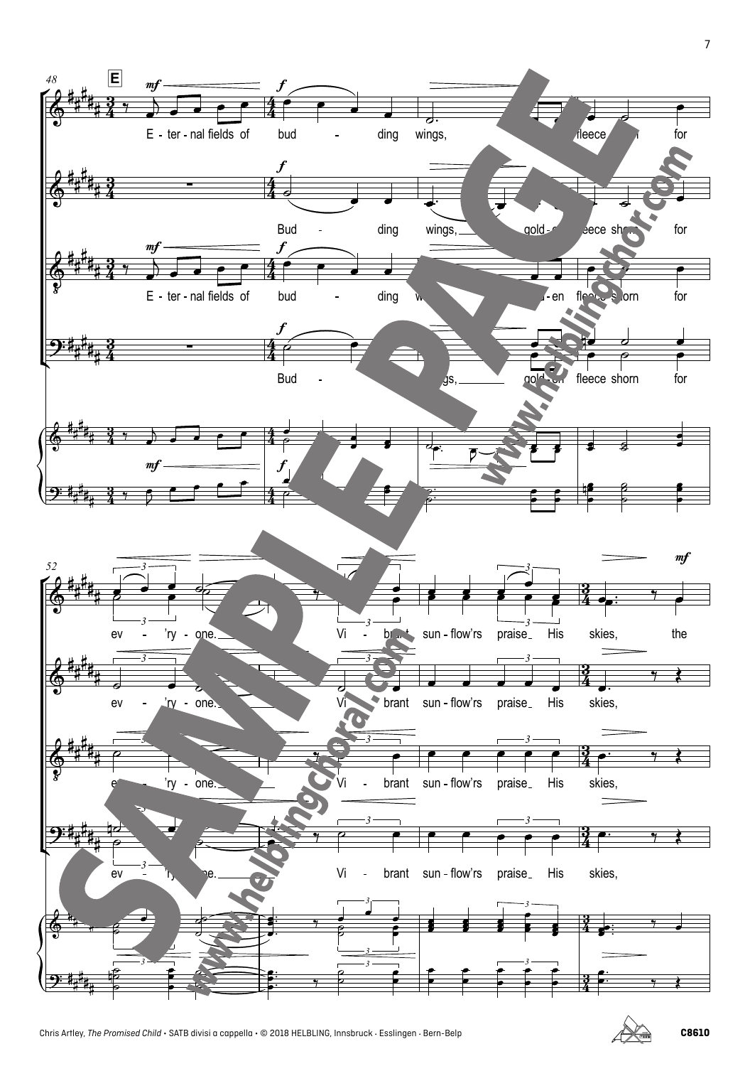